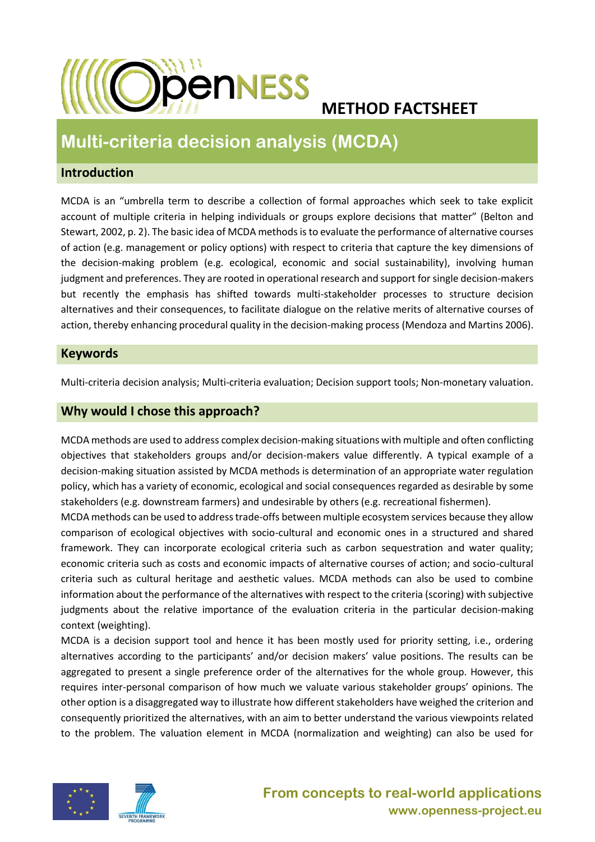

# **METHOD FACTSHEET**

# **Multi-criteria decision analysis (MCDA)**

### **Introduction**

MCDA is an "umbrella term to describe a collection of formal approaches which seek to take explicit account of multiple criteria in helping individuals or groups explore decisions that matter" (Belton and Stewart, 2002, p. 2). The basic idea of MCDA methods is to evaluate the performance of alternative courses of action (e.g. management or policy options) with respect to criteria that capture the key dimensions of the decision-making problem (e.g. ecological, economic and social sustainability), involving human judgment and preferences. They are rooted in operational research and support for single decision-makers but recently the emphasis has shifted towards multi-stakeholder processes to structure decision alternatives and their consequences, to facilitate dialogue on the relative merits of alternative courses of action, thereby enhancing procedural quality in the decision-making process (Mendoza and Martins 2006).

#### **Keywords**

Multi-criteria decision analysis; Multi-criteria evaluation; Decision support tools; Non-monetary valuation.

## **Why would I chose this approach?**

MCDA methods are used to address complex decision-making situations with multiple and often conflicting objectives that stakeholders groups and/or decision-makers value differently. A typical example of a decision-making situation assisted by MCDA methods is determination of an appropriate water regulation policy, which has a variety of economic, ecological and social consequences regarded as desirable by some stakeholders (e.g. downstream farmers) and undesirable by others (e.g. recreational fishermen).

MCDA methods can be used to address trade-offs between multiple ecosystem services because they allow comparison of ecological objectives with socio-cultural and economic ones in a structured and shared framework. They can incorporate ecological criteria such as carbon sequestration and water quality; economic criteria such as costs and economic impacts of alternative courses of action; and socio-cultural criteria such as cultural heritage and aesthetic values. MCDA methods can also be used to combine information about the performance of the alternatives with respect to the criteria (scoring) with subjective judgments about the relative importance of the evaluation criteria in the particular decision-making context (weighting).

MCDA is a decision support tool and hence it has been mostly used for priority setting, i.e., ordering alternatives according to the participants' and/or decision makers' value positions. The results can be aggregated to present a single preference order of the alternatives for the whole group. However, this requires inter-personal comparison of how much we valuate various stakeholder groups' opinions. The other option is a disaggregated way to illustrate how different stakeholders have weighed the criterion and consequently prioritized the alternatives, with an aim to better understand the various viewpoints related to the problem. The valuation element in MCDA (normalization and weighting) can also be used for



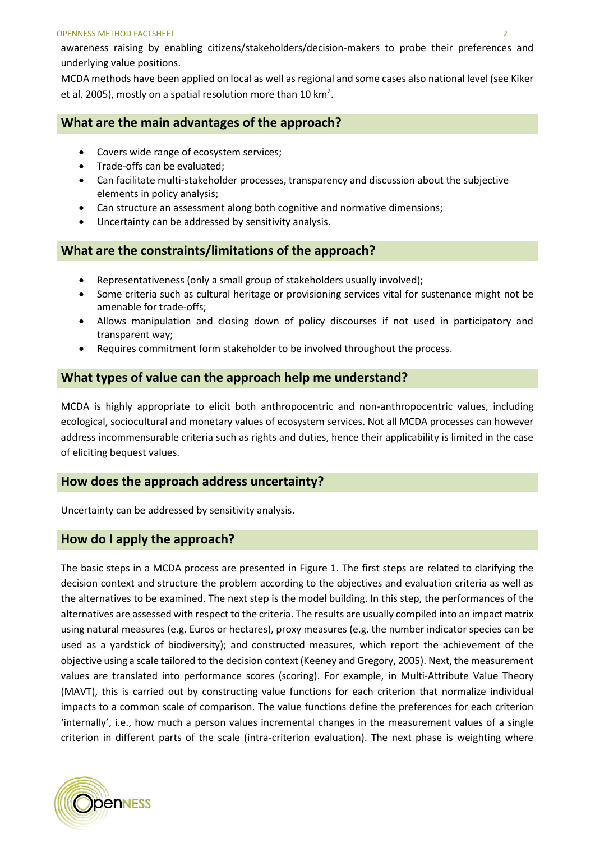#### OPENNESS METHOD FACTSHEET 2

awareness raising by enabling citizens/stakeholders/decision-makers to probe their preferences and underlying value positions.

MCDA methods have been applied on local as well as regional and some cases also national level (see Kiker et al. 2005), mostly on a spatial resolution more than 10 km<sup>2</sup>.

#### **What are the main advantages of the approach?**

- Covers wide range of ecosystem services;
- Trade-offs can be evaluated;
- Can facilitate multi-stakeholder processes, transparency and discussion about the subjective elements in policy analysis;
- Can structure an assessment along both cognitive and normative dimensions;
- Uncertainty can be addressed by sensitivity analysis.

#### **What are the constraints/limitations of the approach?**

- Representativeness (only a small group of stakeholders usually involved);
- Some criteria such as cultural heritage or provisioning services vital for sustenance might not be amenable for trade-offs;
- Allows manipulation and closing down of policy discourses if not used in participatory and transparent way;
- Requires commitment form stakeholder to be involved throughout the process.

#### **What types of value can the approach help me understand?**

MCDA is highly appropriate to elicit both anthropocentric and non-anthropocentric values, including ecological, sociocultural and monetary values of ecosystem services. Not all MCDA processes can however address incommensurable criteria such as rights and duties, hence their applicability is limited in the case of eliciting bequest values.

#### **How does the approach address uncertainty?**

Uncertainty can be addressed by sensitivity analysis.

#### **How do I apply the approach?**

The basic steps in a MCDA process are presented in Figure 1. The first steps are related to clarifying the decision context and structure the problem according to the objectives and evaluation criteria as well as the alternatives to be examined. The next step is the model building. In this step, the performances of the alternatives are assessed with respect to the criteria. The results are usually compiled into an impact matrix using natural measures (e.g. Euros or hectares), proxy measures (e.g. the number indicator species can be used as a yardstick of biodiversity); and constructed measures, which report the achievement of the objective using a scale tailored to the decision context (Keeney and Gregory, 2005). Next, the measurement values are translated into performance scores (scoring). For example, in Multi-Attribute Value Theory (MAVT), this is carried out by constructing value functions for each criterion that normalize individual impacts to a common scale of comparison. The value functions define the preferences for each criterion 'internally', i.e., how much a person values incremental changes in the measurement values of a single criterion in different parts of the scale (intra-criterion evaluation). The next phase is weighting where

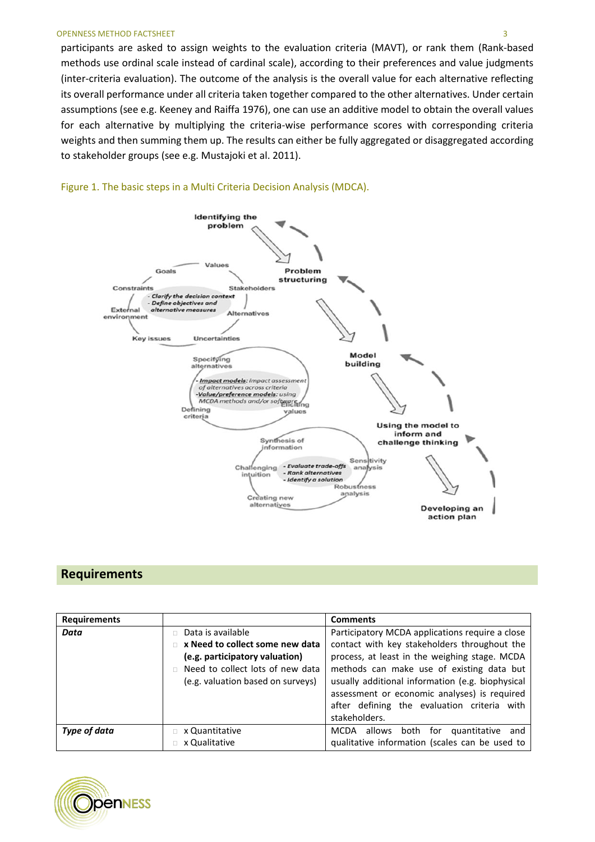participants are asked to assign weights to the evaluation criteria (MAVT), or rank them (Rank-based methods use ordinal scale instead of cardinal scale), according to their preferences and value judgments (inter-criteria evaluation). The outcome of the analysis is the overall value for each alternative reflecting its overall performance under all criteria taken together compared to the other alternatives. Under certain assumptions (see e.g. Keeney and Raiffa 1976), one can use an additive model to obtain the overall values for each alternative by multiplying the criteria-wise performance scores with corresponding criteria weights and then summing them up. The results can either be fully aggregated or disaggregated according to stakeholder groups (see e.g. Mustajoki et al. 2011).



#### Figure 1. The basic steps in a Multi Criteria Decision Analysis (MDCA).

#### **Requirements**

| <b>Requirements</b> |                                                                                                                                                                 | <b>Comments</b>                                                                                                                                                                                                                                                                                                                                  |
|---------------------|-----------------------------------------------------------------------------------------------------------------------------------------------------------------|--------------------------------------------------------------------------------------------------------------------------------------------------------------------------------------------------------------------------------------------------------------------------------------------------------------------------------------------------|
| Data                | Data is available<br>x Need to collect some new data<br>(e.g. participatory valuation)<br>Need to collect lots of new data<br>(e.g. valuation based on surveys) | Participatory MCDA applications require a close<br>contact with key stakeholders throughout the<br>process, at least in the weighing stage. MCDA<br>methods can make use of existing data but<br>usually additional information (e.g. biophysical<br>assessment or economic analyses) is required<br>after defining the evaluation criteria with |
|                     |                                                                                                                                                                 | stakeholders.                                                                                                                                                                                                                                                                                                                                    |
| Type of data        | x Quantitative<br>x Qualitative                                                                                                                                 | both for quantitative<br>allows<br>MCDA<br>and<br>qualitative information (scales can be used to                                                                                                                                                                                                                                                 |